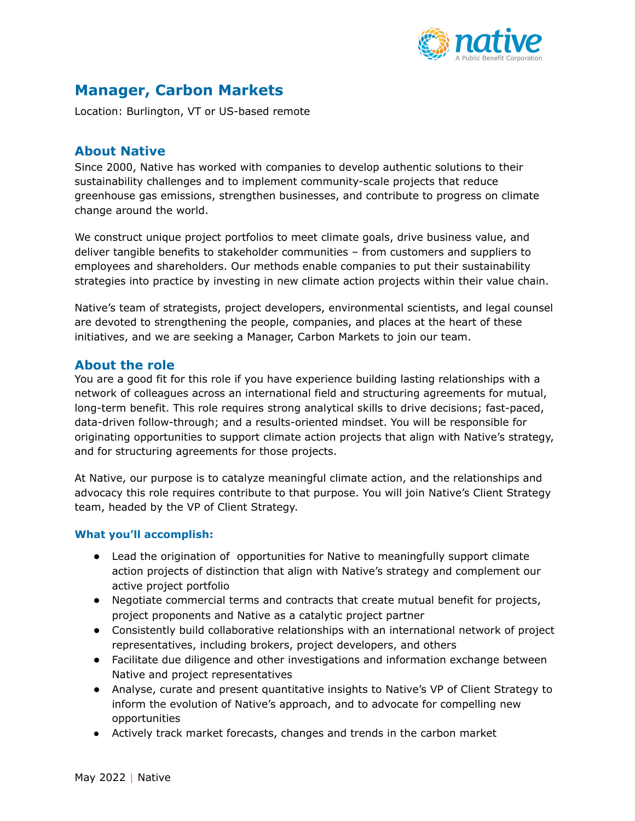

# **Manager, Carbon Markets**

Location: Burlington, VT or US-based remote

## **About Native**

Since 2000, Native has worked with companies to develop authentic solutions to their sustainability challenges and to implement community-scale projects that reduce greenhouse gas emissions, strengthen businesses, and contribute to progress on climate change around the world.

We construct unique project portfolios to meet climate goals, drive business value, and deliver tangible benefits to stakeholder communities – from customers and suppliers to employees and shareholders. Our methods enable companies to put their sustainability strategies into practice by investing in new climate action projects within their value chain.

Native's team of strategists, project developers, environmental scientists, and legal counsel are devoted to strengthening the people, companies, and places at the heart of these initiatives, and we are seeking a Manager, Carbon Markets to join our team.

### **About the role**

You are a good fit for this role if you have experience building lasting relationships with a network of colleagues across an international field and structuring agreements for mutual, long-term benefit. This role requires strong analytical skills to drive decisions; fast-paced, data-driven follow-through; and a results-oriented mindset. You will be responsible for originating opportunities to support climate action projects that align with Native's strategy, and for structuring agreements for those projects.

At Native, our purpose is to catalyze meaningful climate action, and the relationships and advocacy this role requires contribute to that purpose. You will join Native's Client Strategy team, headed by the VP of Client Strategy.

#### **What you'll accomplish:**

- Lead the origination of opportunities for Native to meaningfully support climate action projects of distinction that align with Native's strategy and complement our active project portfolio
- Negotiate commercial terms and contracts that create mutual benefit for projects, project proponents and Native as a catalytic project partner
- Consistently build collaborative relationships with an international network of project representatives, including brokers, project developers, and others
- Facilitate due diligence and other investigations and information exchange between Native and project representatives
- Analyse, curate and present quantitative insights to Native's VP of Client Strategy to inform the evolution of Native's approach, and to advocate for compelling new opportunities
- Actively track market forecasts, changes and trends in the carbon market